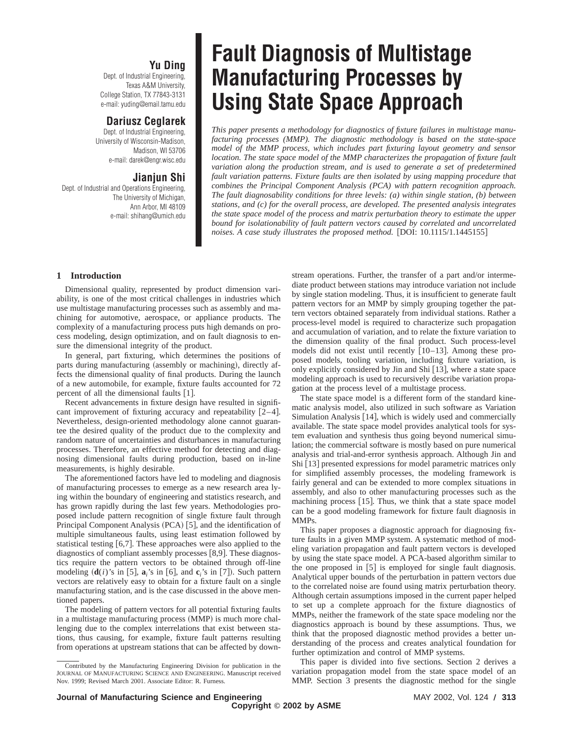# **Yu Ding**

Dept. of Industrial Engineering, Texas A&M University, College Station, TX 77843-3131 e-mail: yuding@email.tamu.edu

# **Dariusz Ceglarek**

Dept. of Industrial Engineering, University of Wisconsin-Madison, Madison, WI 53706 e-mail: darek@engr.wisc.edu

# **Jianjun Shi**

Dept. of Industrial and Operations Engineering, The University of Michigan, Ann Arbor, MI 48109 e-mail: shihang@umich.edu

# **Fault Diagnosis of Multistage Manufacturing Processes by Using State Space Approach**

*This paper presents a methodology for diagnostics of fixture failures in multistage manufacturing processes (MMP). The diagnostic methodology is based on the state-space model of the MMP process, which includes part fixturing layout geometry and sensor location. The state space model of the MMP characterizes the propagation of fixture fault variation along the production stream, and is used to generate a set of predetermined fault variation patterns. Fixture faults are then isolated by using mapping procedure that combines the Principal Component Analysis (PCA) with pattern recognition approach. The fault diagnosability conditions for three levels: (a) within single station, (b) between stations, and (c) for the overall process, are developed. The presented analysis integrates the state space model of the process and matrix perturbation theory to estimate the upper bound for isolationability of fault pattern vectors caused by correlated and uncorrelated noises. A case study illustrates the proposed method.* [DOI: 10.1115/1.1445155]

# **1 Introduction**

Dimensional quality, represented by product dimension variability, is one of the most critical challenges in industries which use multistage manufacturing processes such as assembly and machining for automotive, aerospace, or appliance products. The complexity of a manufacturing process puts high demands on process modeling, design optimization, and on fault diagnosis to ensure the dimensional integrity of the product.

In general, part fixturing, which determines the positions of parts during manufacturing (assembly or machining), directly affects the dimensional quality of final products. During the launch of a new automobile, for example, fixture faults accounted for 72 percent of all the dimensional faults  $[1]$ .

Recent advancements in fixture design have resulted in significant improvement of fixturing accuracy and repeatability  $[2-4]$ . Nevertheless, design-oriented methodology alone cannot guarantee the desired quality of the product due to the complexity and random nature of uncertainties and disturbances in manufacturing processes. Therefore, an effective method for detecting and diagnosing dimensional faults during production, based on in-line measurements, is highly desirable.

The aforementioned factors have led to modeling and diagnosis of manufacturing processes to emerge as a new research area lying within the boundary of engineering and statistics research, and has grown rapidly during the last few years. Methodologies proposed include pattern recognition of single fixture fault through Principal Component Analysis (PCA) [5], and the identification of multiple simultaneous faults, using least estimation followed by statistical testing  $[6,7]$ . These approaches were also applied to the diagnostics of compliant assembly processes  $[8,9]$ . These diagnostics require the pattern vectors to be obtained through off-line modeling  $(d(i)$ 's in [5],  $a_i$ 's in [6], and  $c_i$ 's in [7]). Such pattern vectors are relatively easy to obtain for a fixture fault on a single manufacturing station, and is the case discussed in the above mentioned papers.

The modeling of pattern vectors for all potential fixturing faults in a multistage manufacturing process (MMP) is much more challenging due to the complex interrelations that exist between stations, thus causing, for example, fixture fault patterns resulting from operations at upstream stations that can be affected by down-

stream operations. Further, the transfer of a part and/or intermediate product between stations may introduce variation not include by single station modeling. Thus, it is insufficient to generate fault pattern vectors for an MMP by simply grouping together the pattern vectors obtained separately from individual stations. Rather a process-level model is required to characterize such propagation and accumulation of variation, and to relate the fixture variation to the dimension quality of the final product. Such process-level models did not exist until recently  $[10-13]$ . Among these proposed models, tooling variation, including fixture variation, is only explicitly considered by Jin and Shi  $[13]$ , where a state space modeling approach is used to recursively describe variation propagation at the process level of a multistage process.

The state space model is a different form of the standard kinematic analysis model, also utilized in such software as Variation Simulation Analysis [14], which is widely used and commercially available. The state space model provides analytical tools for system evaluation and synthesis thus going beyond numerical simulation; the commercial software is mostly based on pure numerical analysis and trial-and-error synthesis approach. Although Jin and Shi [13] presented expressions for model parametric matrices only for simplified assembly processes, the modeling framework is fairly general and can be extended to more complex situations in assembly, and also to other manufacturing processes such as the machining process  $[15]$ . Thus, we think that a state space model can be a good modeling framework for fixture fault diagnosis in MMPs.

This paper proposes a diagnostic approach for diagnosing fixture faults in a given MMP system. A systematic method of modeling variation propagation and fault pattern vectors is developed by using the state space model. A PCA-based algorithm similar to the one proposed in  $\lceil 5 \rceil$  is employed for single fault diagnosis. Analytical upper bounds of the perturbation in pattern vectors due to the correlated noise are found using matrix perturbation theory. Although certain assumptions imposed in the current paper helped to set up a complete approach for the fixture diagnostics of MMPs, neither the framework of the state space modeling nor the diagnostics approach is bound by these assumptions. Thus, we think that the proposed diagnostic method provides a better understanding of the process and creates analytical foundation for further optimization and control of MMP systems.

This paper is divided into five sections. Section 2 derives a variation propagation model from the state space model of an MMP. Section 3 presents the diagnostic method for the single

Contributed by the Manufacturing Engineering Division for publication in the JOURNAL OF MANUFACTURING SCIENCE AND ENGINEERING. Manuscript received Nov. 1999; Revised March 2001. Associate Editor: R. Furness.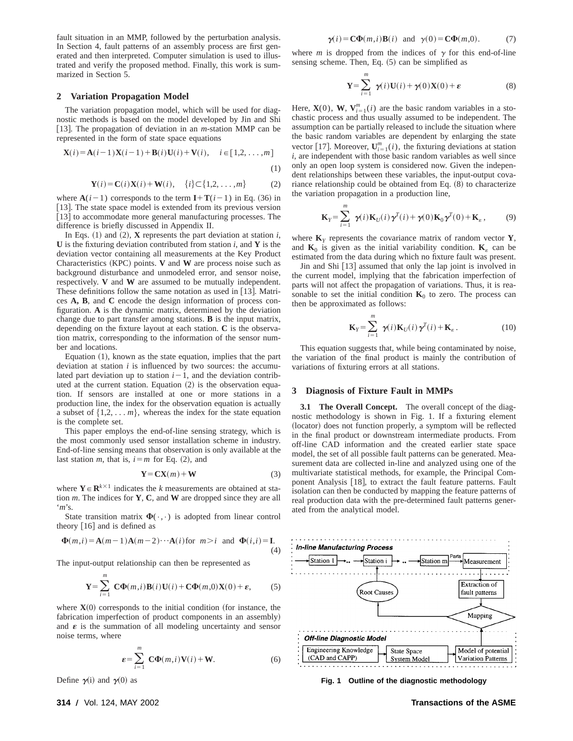fault situation in an MMP, followed by the perturbation analysis. In Section 4, fault patterns of an assembly process are first generated and then interpreted. Computer simulation is used to illustrated and verify the proposed method. Finally, this work is summarized in Section 5.

# **2 Variation Propagation Model**

The variation propagation model, which will be used for diagnostic methods is based on the model developed by Jin and Shi [13]. The propagation of deviation in an *m*-station MMP can be represented in the form of state space equations

$$
\mathbf{X}(i) = \mathbf{A}(i-1)\mathbf{X}(i-1) + \mathbf{B}(i)\mathbf{U}(i) + \mathbf{V}(i), \quad i \in [1,2,\ldots,m]
$$
\n(1)

$$
\mathbf{Y}(i) = \mathbf{C}(i)\mathbf{X}(i) + \mathbf{W}(i), \quad \{i\} \subset \{1, 2, \dots, m\} \tag{2}
$$

where  $A(i-1)$  corresponds to the term  $I+T(i-1)$  in Eq. (36) in [13]. The state space model is extended from its previous version [13] to accommodate more general manufacturing processes. The difference is briefly discussed in Appendix II.

In Eqs.  $(1)$  and  $(2)$ , **X** represents the part deviation at station *i*, **U** is the fixturing deviation contributed from station *i*, and **Y** is the deviation vector containing all measurements at the Key Product Characteristics  $(KPC)$  points. **V** and **W** are process noise such as background disturbance and unmodeled error, and sensor noise, respectively. **V** and **W** are assumed to be mutually independent. These definitions follow the same notation as used in  $[13]$ . Matrices **A, B**, and **C** encode the design information of process configuration. **A** is the dynamic matrix, determined by the deviation change due to part transfer among stations. **B** is the input matrix, depending on the fixture layout at each station. **C** is the observation matrix, corresponding to the information of the sensor number and locations.

Equation  $(1)$ , known as the state equation, implies that the part deviation at station *i* is influenced by two sources: the accumulated part deviation up to station  $i-1$ , and the deviation contributed at the current station. Equation  $(2)$  is the observation equation. If sensors are installed at one or more stations in a production line, the index for the observation equation is actually a subset of  $\{1,2,\ldots,m\}$ , whereas the index for the state equation is the complete set.

This paper employs the end-of-line sensing strategy, which is the most commonly used sensor installation scheme in industry. End-of-line sensing means that observation is only available at the last station *m*, that is,  $i = m$  for Eq. (2), and

$$
Y = CX(m) + W
$$
 (3)

where  $Y \in \mathbb{R}^{k \times 1}$  indicates the *k* measurements are obtained at station *m*. The indices for **Y**, **C**, and **W** are dropped since they are all '*m*'s.

State transition matrix  $\Phi(\cdot,\cdot)$  is adopted from linear control theory  $\lceil 16 \rceil$  and is defined as

$$
\Phi(m,i) = \mathbf{A}(m-1)\mathbf{A}(m-2)\cdots\mathbf{A}(i) \text{ for } m > i \text{ and } \Phi(i,i) = \mathbf{I}.
$$
\n(4)

The input-output relationship can then be represented as

$$
\mathbf{Y} = \sum_{i=1}^{m} \mathbf{C} \Phi(m, i) \mathbf{B}(i) \mathbf{U}(i) + \mathbf{C} \Phi(m, 0) \mathbf{X}(0) + \varepsilon,
$$
 (5)

where  **corresponds to the initial condition (for instance, the** fabrication imperfection of product components in an assembly) and  $\varepsilon$  is the summation of all modeling uncertainty and sensor noise terms, where

$$
\varepsilon = \sum_{i=1}^{m} \mathbf{C} \Phi(m, i) \mathbf{V}(i) + \mathbf{W}.
$$
 (6)

Define  $\gamma(i)$  and  $\gamma(0)$  as

$$
\gamma(i) = \mathbf{C}\Phi(m,i)\mathbf{B}(i)
$$
 and  $\gamma(0) = \mathbf{C}\Phi(m,0)$ . (7)

where *m* is dropped from the indices of  $\gamma$  for this end-of-line sensing scheme. Then, Eq.  $(5)$  can be simplified as

$$
\mathbf{Y} = \sum_{i=1}^{m} \gamma(i) \mathbf{U}(i) + \gamma(0) \mathbf{X}(0) + \boldsymbol{\varepsilon}
$$
 (8)

Here,  $\mathbf{X}(0)$ ,  $\mathbf{W}$ ,  $\mathbf{V}_{i=1}^{m}(i)$  are the basic random variables in a stochastic process and thus usually assumed to be independent. The assumption can be partially released to include the situation where the basic random variables are dependent by enlarging the state vector [17]. Moreover,  $\mathbf{U}_{i=1}^m(i)$ , the fixturing deviations at station *i*, are independent with those basic random variables as well since only an open loop system is considered now. Given the independent relationships between these variables, the input-output covariance relationship could be obtained from Eq.  $(8)$  to characterize the variation propagation in a production line,

$$
\mathbf{K}_{Y} = \sum_{i=1}^{m} \gamma(i) \mathbf{K}_{U}(i) \gamma^{T}(i) + \gamma(0) \mathbf{K}_{0} \gamma^{T}(0) + \mathbf{K}_{\varepsilon},
$$
 (9)

where  $\mathbf{K}_Y$  represents the covariance matrix of random vector **Y**, and  $\mathbf{K}_0$  is given as the initial variability condition.  $\mathbf{K}_\varepsilon$  can be estimated from the data during which no fixture fault was present.

Jin and Shi  $[13]$  assumed that only the lap joint is involved in the current model, implying that the fabrication imperfection of parts will not affect the propagation of variations. Thus, it is reasonable to set the initial condition  $K_0$  to zero. The process can then be approximated as follows:

$$
\mathbf{K}_{Y} = \sum_{i=1}^{m} \gamma(i) \mathbf{K}_{U}(i) \gamma^{T}(i) + \mathbf{K}_{\varepsilon}.
$$
 (10)

This equation suggests that, while being contaminated by noise, the variation of the final product is mainly the contribution of variations of fixturing errors at all stations.

#### **3 Diagnosis of Fixture Fault in MMPs**

**3.1 The Overall Concept.** The overall concept of the diagnostic methodology is shown in Fig. 1. If a fixturing element (locator) does not function properly, a symptom will be reflected in the final product or downstream intermediate products. From off-line CAD information and the created earlier state space model, the set of all possible fault patterns can be generated. Measurement data are collected in-line and analyzed using one of the multivariate statistical methods, for example, the Principal Component Analysis [18], to extract the fault feature patterns. Fault isolation can then be conducted by mapping the feature patterns of real production data with the pre-determined fault patterns generated from the analytical model.



**Fig. 1 Outline of the diagnostic methodology**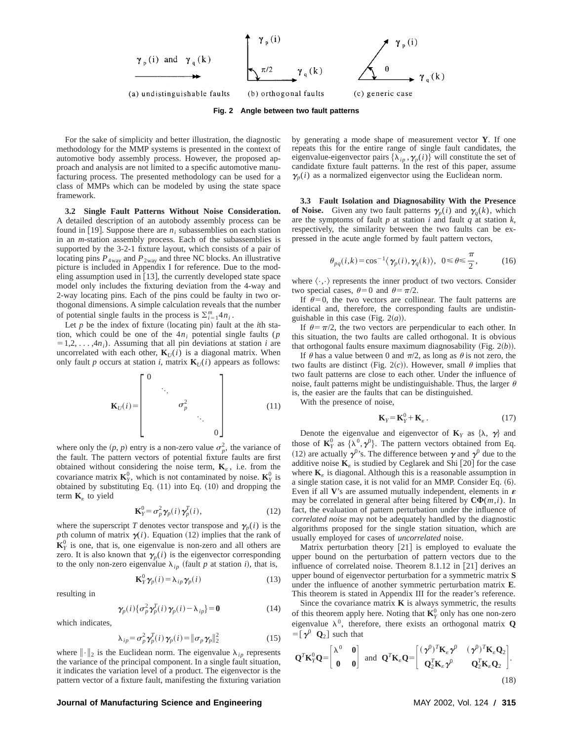

**Fig. 2 Angle between two fault patterns**

For the sake of simplicity and better illustration, the diagnostic methodology for the MMP systems is presented in the context of automotive body assembly process. However, the proposed approach and analysis are not limited to a specific automotive manufacturing process. The presented methodology can be used for a class of MMPs which can be modeled by using the state space framework.

**3.2 Single Fault Patterns Without Noise Consideration.** A detailed description of an autobody assembly process can be found in [19]. Suppose there are  $n_i$  subassemblies on each station in an *m*-station assembly process. Each of the subassemblies is supported by the 3-2-1 fixture layout, which consists of a pair of locating pins  $P_{4\text{wav}}$  and  $P_{2\text{wav}}$  and three NC blocks. An illustrative picture is included in Appendix I for reference. Due to the modeling assumption used in  $[13]$ , the currently developed state space model only includes the fixturing deviation from the 4-way and 2-way locating pins. Each of the pins could be faulty in two orthogonal dimensions. A simple calculation reveals that the number of potential single faults in the process is  $\sum_{i=1}^{m} 4n_i$ .

Let  $p$  be the index of fixture (locating pin) fault at the *i*th station, which could be one of the  $4n_i$  potential single faults ( $p$  $=1,2,\ldots,4n<sub>i</sub>$ ). Assuming that all pin deviations at station *i* are uncorrelated with each other,  $\mathbf{K}_{U}(i)$  is a diagonal matrix. When only fault *p* occurs at station *i*, matrix  $\mathbf{K}_U(i)$  appears as follows:

$$
\mathbf{K}_U(i) = \begin{bmatrix} 0 & & & & \\ & \ddots & & & \\ & & \sigma_p^2 & & \\ & & & \ddots & \\ & & & & 0 \end{bmatrix}
$$
 (11)

where only the  $(p, p)$  entry is a non-zero value  $\sigma_p^2$ , the variance of the fault. The pattern vectors of potential fixture faults are first obtained without considering the noise term,  $\mathbf{K}_{\varepsilon}$ , i.e. from the covariance matrix  $\mathbf{K}_Y^0$ , which is not contaminated by noise.  $\mathbf{K}_Y^0$  is obtained by substituting Eq.  $(11)$  into Eq.  $(10)$  and dropping the term  $\mathbf{K}_{\varepsilon}$  to yield

$$
\mathbf{K}_{Y}^{0} = \sigma_{p}^{2} \gamma_{p}(i) \gamma_{p}^{T}(i), \qquad (12)
$$

where the superscript *T* denotes vector transpose and  $\gamma_p(i)$  is the *p*th column of matrix  $\gamma(i)$ . Equation (12) implies that the rank of  $\mathbf{K}_Y^0$  is one, that is, one eigenvalue is non-zero and all others are zero. It is also known that  $\gamma_p(i)$  is the eigenvector corresponding to the only non-zero eigenvalue  $\lambda_{ip}$  (fault *p* at station *i*), that is,

$$
\mathbf{K}_{Y}^{0} \gamma_{p}(i) = \lambda_{ip} \gamma_{p}(i)
$$
 (13)

resulting in

$$
\gamma_p(i) \{ \sigma_p^2 \gamma_p^T(i) \gamma_p(i) - \lambda_{ip} \} = \mathbf{0}
$$
 (14)

which indicates,

$$
\lambda_{ip} = \sigma_p^2 \gamma_p^T(i) \gamma_p(i) = ||\sigma_p \gamma_p||_2^2
$$
 (15)

where  $\|\cdot\|_2$  is the Euclidean norm. The eigenvalue  $\lambda_{ip}$  represents the variance of the principal component. In a single fault situation, it indicates the variation level of a product. The eigenvector is the pattern vector of a fixture fault, manifesting the fixturing variation

**Journal of Manufacturing Science and Engineering MAY 2002, Vol. 124 / 315** 

by generating a mode shape of measurement vector **Y**. If one repeats this for the entire range of single fault candidates, the eigenvalue-eigenvector pairs  $\{\lambda_{ip}, \gamma_p(i)\}$  will constitute the set of candidate fixture fault patterns. In the rest of this paper, assume  $\gamma_p(i)$  as a normalized eigenvector using the Euclidean norm.

**3.3 Fault Isolation and Diagnosability With the Presence of Noise.** Given any two fault patterns  $\gamma_p(i)$  and  $\gamma_q(k)$ , which are the symptoms of fault *p* at station *i* and fault *q* at station *k*, respectively, the similarity between the two faults can be expressed in the acute angle formed by fault pattern vectors,

$$
\theta_{pq}(i,k) = \cos^{-1}\langle \gamma_p(i), \gamma_q(k) \rangle, \ \ 0 \le \theta \le \frac{\pi}{2}, \tag{16}
$$

where  $\langle \cdot, \cdot \rangle$  represents the inner product of two vectors. Consider two special cases,  $\theta = 0$  and  $\theta = \pi/2$ .

If  $\theta = 0$ , the two vectors are collinear. The fault patterns are identical and, therefore, the corresponding faults are undistinguishable in this case (Fig.  $2(a)$ ).

If  $\theta = \pi/2$ , the two vectors are perpendicular to each other. In this situation, the two faults are called orthogonal. It is obvious that orthogonal faults ensure maximum diagnosability (Fig.  $2(b)$ ).

If  $\theta$  has a value between 0 and  $\pi/2$ , as long as  $\theta$  is not zero, the two faults are distinct (Fig. 2(c)). However, small  $\theta$  implies that two fault patterns are close to each other. Under the influence of noise, fault patterns might be undistinguishable. Thus, the larger  $\theta$ is, the easier are the faults that can be distinguished.

With the presence of noise,

$$
\mathbf{K}_Y = \mathbf{K}_Y^0 + \mathbf{K}_\varepsilon \,. \tag{17}
$$

Denote the eigenvalue and eigenvector of  $\mathbf{K}_Y$  as  $\{\lambda, \gamma\}$  and those of  $\mathbf{K}_Y^0$  as  $\{\lambda^0, \gamma^0\}$ . The pattern vectors obtained from Eq. (12) are actually  $\gamma^0$ 's. The difference between  $\gamma$  and  $\gamma^0$  due to the additive noise  $\mathbf{K}_{\varepsilon}$  is studied by Ceglarek and Shi [20] for the case where  $\mathbf{K}_{\varepsilon}$  is diagonal. Although this is a reasonable assumption in a single station case, it is not valid for an MMP. Consider Eq.  $(6)$ . Even if all V's are assumed mutually independent, elements in  $\varepsilon$ may be correlated in general after being filtered by  $\mathbf{C}\Phi(m,i)$ . In fact, the evaluation of pattern perturbation under the influence of *correlated noise* may not be adequately handled by the diagnostic algorithms proposed for the single station situation, which are usually employed for cases of *uncorrelated* noise.

Matrix perturbation theory  $[21]$  is employed to evaluate the upper bound on the perturbation of pattern vectors due to the influence of correlated noise. Theorem 8.1.12 in  $[21]$  derives an upper bound of eigenvector perturbation for a symmetric matrix **S** under the influence of another symmetric perturbation matrix **E**. This theorem is stated in Appendix III for the reader's reference.

Since the covariance matrix  $\bf{K}$  is always symmetric, the results of this theorem apply here. Noting that  $\mathbf{K}_Y^0$  only has one non-zero eigenvalue  $\lambda^0$ , therefore, there exists an orthogonal matrix **Q**  $= [\gamma^0 \ Q_2]$  such that

$$
\mathbf{Q}^T \mathbf{K}_Y^0 \mathbf{Q} = \begin{bmatrix} \lambda^0 & \mathbf{0} \\ \mathbf{0} & \mathbf{0} \end{bmatrix} \text{ and } \mathbf{Q}^T \mathbf{K}_\varepsilon \mathbf{Q} = \begin{bmatrix} (\boldsymbol{\gamma}^0)^T \mathbf{K}_\varepsilon \boldsymbol{\gamma}^0 & (\boldsymbol{\gamma}^0)^T \mathbf{K}_\varepsilon \mathbf{Q}_2 \\ \mathbf{Q}_2^T \mathbf{K}_\varepsilon \boldsymbol{\gamma}^0 & \mathbf{Q}_2^T \mathbf{K}_\varepsilon \mathbf{Q}_2 \end{bmatrix} .
$$
\n(18)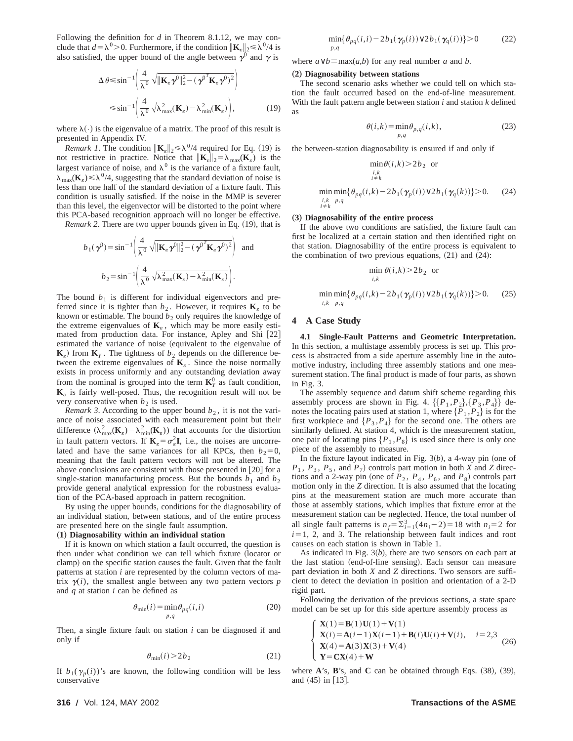Following the definition for *d* in Theorem 8.1.12, we may conclude that  $d = \lambda^0 > 0$ . Furthermore, if the condition  $\|\mathbf{K}_s\|_2 \le \lambda^0/4$  is also satisfied, the upper bound of the angle between  $\gamma^0$  and  $\gamma$  is

$$
\Delta \theta \le \sin^{-1} \left( \frac{4}{\lambda^0} \sqrt{\|\mathbf{K}_{\varepsilon} \boldsymbol{\gamma}^0\|_2^2 - (\boldsymbol{\gamma}^{0^T} \mathbf{K}_{\varepsilon} \boldsymbol{\gamma}^0)^2} \right)
$$
  

$$
\le \sin^{-1} \left( \frac{4}{\lambda^0} \sqrt{\lambda_{\max}^2(\mathbf{K}_{\varepsilon}) - \lambda_{\min}^2(\mathbf{K}_{\varepsilon})} \right),
$$
 (19)

where  $\lambda(\cdot)$  is the eigenvalue of a matrix. The proof of this result is presented in Appendix IV.

*Remark 1*. The condition  $\|\mathbf{K}_{\varepsilon}\|_2 \leq \lambda^0/4$  required for Eq. (19) is not restrictive in practice. Notice that  $\|\mathbf{K}_{\varepsilon}\|_2 = \lambda_{\max}(\mathbf{K}_{\varepsilon})$  is the largest variance of noise, and  $\lambda^0$  is the variance of a fixture fault,  $\lambda_{\text{max}}(\mathbf{K}_{\varepsilon}) \leq \lambda^0/4$ , suggesting that the standard deviation of noise is less than one half of the standard deviation of a fixture fault. This condition is usually satisfied. If the noise in the MMP is severer than this level, the eigenvector will be distorted to the point where this PCA-based recognition approach will no longer be effective.

*Remark 2*. There are two upper bounds given in Eq. (19), that is

$$
b_1(\boldsymbol{\gamma}^0) = \sin^{-1} \left( \frac{4}{\lambda^0} \sqrt{\|\mathbf{K}_{\varepsilon} \boldsymbol{\gamma}^0\|_2^2 - (\boldsymbol{\gamma}^{0^T} \mathbf{K}_{\varepsilon} \boldsymbol{\gamma}^0)^2} \right) \text{ and}
$$

$$
b_2 = \sin^{-1} \left( \frac{4}{\lambda^0} \sqrt{\lambda_{\max}^2(\mathbf{K}_{\varepsilon}) - \lambda_{\min}^2(\mathbf{K}_{\varepsilon})} \right).
$$

The bound  $b_1$  is different for individual eigenvectors and preferred since it is tighter than  $b_2$ . However, it requires  $\mathbf{K}_{\varepsilon}$  to be known or estimable. The bound  $b_2$  only requires the knowledge of the extreme eigenvalues of  $\mathbf{K}_{\varepsilon}$ , which may be more easily estimated from production data. For instance, Apley and Shi  $[22]$ estimated the variance of noise (equivalent to the eigenvalue of  $\mathbf{K}_{\rm s}$ ) from  $\mathbf{K}_{\rm y}$ . The tightness of  $b_2$  depends on the difference between the extreme eigenvalues of  $\mathbf{K}_{\varepsilon}$ . Since the noise normally exists in process uniformly and any outstanding deviation away from the nominal is grouped into the term  $\mathbf{K}_Y^0$  as fault condition,  $\mathbf{K}_{\varepsilon}$  is fairly well-posed. Thus, the recognition result will not be very conservative when  $b_2$  is used.

*Remark 3*. According to the upper bound  $b_2$ , it is not the variance of noise associated with each measurement point but their difference  $(\lambda_{\text{max}}^2(\mathbf{K}_{\varepsilon}) - \lambda_{\text{min}}^2(\mathbf{K}_{\varepsilon}))$  that accounts for the distortion in fault pattern vectors. If  $\mathbf{K}_{\varepsilon} = \sigma_{\varepsilon}^2 \mathbf{I}$ , i.e., the noises are uncorrelated and have the same variances for all KPCs, then  $b_2=0$ , meaning that the fault pattern vectors will not be altered. The above conclusions are consistent with those presented in  $[20]$  for a single-station manufacturing process. But the bounds  $b_1$  and  $b_2$ provide general analytical expression for the robustness evaluation of the PCA-based approach in pattern recognition.

By using the upper bounds, conditions for the diagnosability of an individual station, between stations, and of the entire process are presented here on the single fault assumption.

#### "**1**… **Diagnosability within an individual station**

If it is known on which station a fault occurred, the question is then under what condition we can tell which fixture (locator or clamp) on the specific station causes the fault. Given that the fault patterns at station *i* are represented by the column vectors of matrix  $\gamma(i)$ , the smallest angle between any two pattern vectors  $p$ and *q* at station *i* can be defined as

$$
\theta_{\min}(i) = \min_{p,q} \theta_{pq}(i,i) \tag{20}
$$

Then, a single fixture fault on station *i* can be diagnosed if and only if

$$
\theta_{\min}(i) > 2b_2 \tag{21}
$$

If  $b_1(\gamma_n(i))$ 's are known, the following condition will be less conservative

$$
\min_{p,q} \{ \theta_{pq}(i,i) - 2b_1(\gamma_p(i)) \vee 2b_1(\gamma_q(i)) \} > 0 \tag{22}
$$

where  $a \vee b \equiv \max(a,b)$  for any real number *a* and *b*.

# (2) Diagnosability between stations

The second scenario asks whether we could tell on which station the fault occurred based on the end-of-line measurement. With the fault pattern angle between station *i* and station *k* defined as

$$
\theta(i,k) = \min_{p,q} \theta_{p,q}(i,k),\tag{23}
$$

the between-station diagnosability is ensured if and only if

$$
\min_{i,k} \theta(i,k) > 2b_2 \text{ or}
$$
  
\n
$$
\min_{i \neq k} \{\theta_{pq}(i,k) - 2b_1(\gamma_p(i)) \vee 2b_1(\gamma_q(k))\} > 0.
$$
 (24)

#### "**3**… **Diagnosability of the entire process**

If the above two conditions are satisfied, the fixture fault can first be localized at a certain station and then identified right on that station. Diagnosability of the entire process is equivalent to the combination of two previous equations,  $(21)$  and  $(24)$ :

$$
\min_{i,k} \theta(i,k) > 2b_2 \text{ or}
$$
  

$$
\min_{i,k} \min \min \{ \theta_{pq}(i,k) - 2b_1(\gamma_p(i)) \vee 2b_1(\gamma_q(k)) \} > 0. \quad (25)
$$
  

$$
\sum_{i,k} p, q
$$

#### **4 A Case Study**

mi

min *i*,*k*  $i \neq k$ 

**4.1 Single-Fault Patterns and Geometric Interpretation.** In this section, a multistage assembly process is set up. This process is abstracted from a side aperture assembly line in the automotive industry, including three assembly stations and one measurement station. The final product is made of four parts, as shown in Fig. 3.

The assembly sequence and datum shift scheme regarding this assembly process are shown in Fig. 4.  $\{\{P_1, P_2\}, \{P_3, P_4\}\}\$  denotes the locating pairs used at station 1, where  $\{P_1, P_2\}$  is for the first workpiece and  $\{P_3, P_4\}$  for the second one. The others are similarly defined. At station 4, which is the measurement station, one pair of locating pins  $\{P_1, P_8\}$  is used since there is only one piece of the assembly to measure.

In the fixture layout indicated in Fig.  $3(b)$ , a 4-way pin (one of  $P_1$ ,  $P_3$ ,  $P_5$ , and  $P_7$ ) controls part motion in both *X* and *Z* directions and a 2-way pin (one of  $P_2$ ,  $P_4$ ,  $P_6$ , and  $P_8$ ) controls part motion only in the *Z* direction. It is also assumed that the locating pins at the measurement station are much more accurate than those at assembly stations, which implies that fixture error at the measurement station can be neglected. Hence, the total number of all single fault patterns is  $n_f = \sum_{i=1}^{3} (4n_i - 2) = 18$  with  $n_i = 2$  for  $i=1, 2$ , and 3. The relationship between fault indices and root causes on each station is shown in Table 1.

As indicated in Fig.  $3(b)$ , there are two sensors on each part at the last station (end-of-line sensing). Each sensor can measure part deviation in both *X* and *Z* directions. Two sensors are sufficient to detect the deviation in position and orientation of a 2-D rigid part.

Following the derivation of the previous sections, a state space model can be set up for this side aperture assembly process as

$$
\begin{cases}\n\mathbf{X}(1) = \mathbf{B}(1)\mathbf{U}(1) + \mathbf{V}(1) \\
\mathbf{X}(i) = \mathbf{A}(i-1)\mathbf{X}(i-1) + \mathbf{B}(i)\mathbf{U}(i) + \mathbf{V}(i), \quad i = 2,3 \\
\mathbf{X}(4) = \mathbf{A}(3)\mathbf{X}(3) + \mathbf{V}(4) \\
\mathbf{Y} = \mathbf{C}\mathbf{X}(4) + \mathbf{W}\n\end{cases} (26)
$$

where  $\mathbf{A}$ 's,  $\mathbf{B}$ 's, and  $\mathbf{C}$  can be obtained through Eqs.  $(38)$ ,  $(39)$ , and  $(45)$  in  $|13|$ .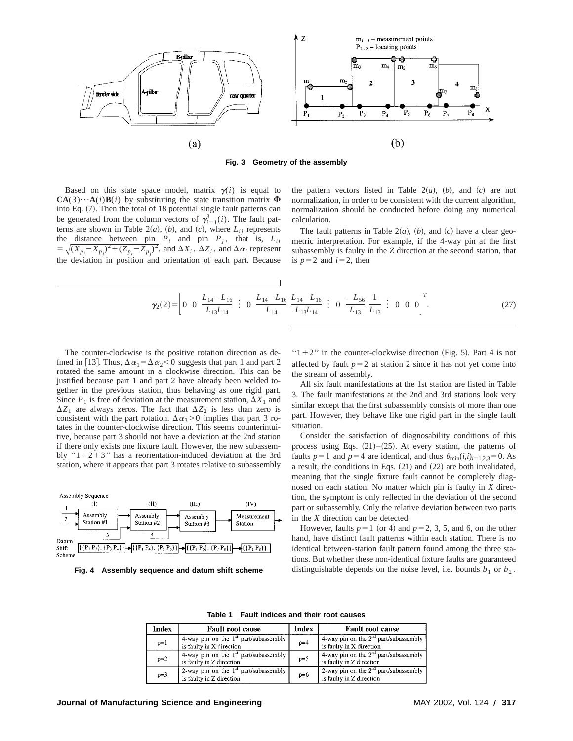

**Fig. 3 Geometry of the assembly**

Based on this state space model, matrix  $\gamma(i)$  is equal to  $CA(3) \cdot A(i)$  B(*i*) by substituting the state transition matrix  $\Phi$ into Eq.  $(7)$ . Then the total of 18 potential single fault patterns can be generated from the column vectors of  $\gamma_{i=1}^3(i)$ . The fault patterns are shown in Table 2(*a*), (*b*), and (*c*), where  $L_{ii}$  represents the distance between pin  $P_i$  and pin  $P_j$ , that is,  $L_{ij}$  $=\sqrt{(X_{p_i}-X_{p_j})^2+(Z_{p_i}-Z_{p_j})^2}$ , and  $\Delta X_i$ ,  $\Delta Z_i$ , and  $\Delta \alpha_i$  represent the deviation in position and orientation of each part. Because the pattern vectors listed in Table  $2(a)$ ,  $(b)$ , and  $(c)$  are not normalization, in order to be consistent with the current algorithm, normalization should be conducted before doing any numerical calculation.

The fault patterns in Table  $2(a)$ ,  $(b)$ , and  $(c)$  have a clear geometric interpretation. For example, if the 4-way pin at the first subassembly is faulty in the *Z* direction at the second station, that is  $p=2$  and  $i=2$ , then

$$
\boldsymbol{\gamma}_2(2) = \left[0 \quad 0 \quad \frac{L_{14} - L_{16}}{L_{13}L_{14}} \quad \vdots \quad 0 \quad \frac{L_{14} - L_{16}}{L_{14}} \quad \frac{L_{14} - L_{16}}{L_{13}L_{14}} \quad \vdots \quad 0 \quad \frac{-L_{56}}{L_{13}} \quad \frac{1}{L_{13}} \quad \vdots \quad 0 \quad 0 \quad 0\right]^T. \tag{27}
$$

The counter-clockwise is the positive rotation direction as defined in [13]. Thus,  $\Delta \alpha_1 = \Delta \alpha_2 < 0$  suggests that part 1 and part 2 rotated the same amount in a clockwise direction. This can be justified because part 1 and part 2 have already been welded together in the previous station, thus behaving as one rigid part. Since  $P_1$  is free of deviation at the measurement station,  $\Delta X_1$  and  $\Delta Z_1$  are always zeros. The fact that  $\Delta Z_2$  is less than zero is consistent with the part rotation.  $\Delta \alpha_3$  > 0 implies that part 3 rotates in the counter-clockwise direction. This seems counterintuitive, because part 3 should not have a deviation at the 2nd station if there only exists one fixture fault. However, the new subassembly " $1+2+3$ " has a reorientation-induced deviation at the 3rd station, where it appears that part 3 rotates relative to subassembly





" $1+2$ " in the counter-clockwise direction (Fig. 5). Part 4 is not affected by fault  $p=2$  at station 2 since it has not yet come into the stream of assembly.

All six fault manifestations at the 1st station are listed in Table 3. The fault manifestations at the 2nd and 3rd stations look very similar except that the first subassembly consists of more than one part. However, they behave like one rigid part in the single fault situation.

Consider the satisfaction of diagnosability conditions of this process using Eqs.  $(21)$ – $(25)$ . At every station, the patterns of faults  $p=1$  and  $p=4$  are identical, and thus  $\theta_{\min}(i,i)_{i=1,2,3}=0$ . As a result, the conditions in Eqs.  $(21)$  and  $(22)$  are both invalidated, meaning that the single fixture fault cannot be completely diagnosed on each station. No matter which pin is faulty in *X* direction, the symptom is only reflected in the deviation of the second part or subassembly. Only the relative deviation between two parts in the *X* direction can be detected.

However, faults  $p=1$  (or 4) and  $p=2, 3, 5$ , and 6, on the other hand, have distinct fault patterns within each station. There is no identical between-station fault pattern found among the three stations. But whether these non-identical fixture faults are guaranteed distinguishable depends on the noise level, i.e. bounds  $b_1$  or  $b_2$ .

| Table 1 Fault indices and their root causes |  |  |  |
|---------------------------------------------|--|--|--|
|                                             |  |  |  |

| Index | <b>Fault root cause</b>                                             | <b>Index</b> | <b>Fault root cause</b>                                                |
|-------|---------------------------------------------------------------------|--------------|------------------------------------------------------------------------|
| $p=1$ | 4-way pin on the $1st$ part/subassembly<br>is faulty in X direction | $p=4$        | 4-way pin on the $2nd$ part/subassembly<br>is faulty in X direction    |
| $p=2$ | 4-way pin on the $1st$ part/subassembly<br>is faulty in Z direction | $p=5$        | 4-way pin on the $2nd$ part/subassembly<br>is faulty in Z direction    |
| $p=3$ | 2-way pin on the $1st$ part/subassembly<br>is faulty in Z direction | $p=6$        | 2-way pin on the $2^{nd}$ part/subassembly<br>is faulty in Z direction |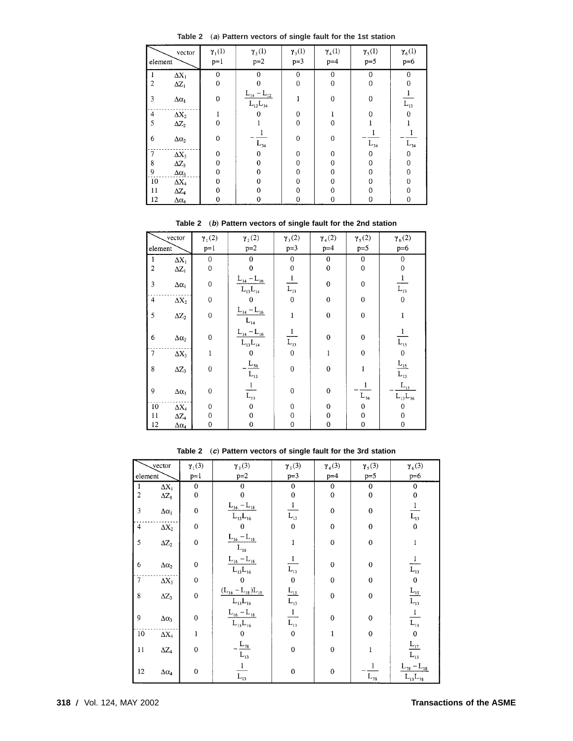| element        | vector            | $\gamma_1(1)$<br>$p=1$ | $\gamma_2(1)$<br>$p=2$                  | $\gamma_3(1)$<br>$p=3$ | $\gamma_4(1)$<br>$p=4$ | $\gamma_5(1)$<br>$p=5$ | $\gamma_6(1)$<br>$p=6$ |
|----------------|-------------------|------------------------|-----------------------------------------|------------------------|------------------------|------------------------|------------------------|
|                | $\Delta X_1$      | $\mathbf 0$            | n                                       | $\mathbf{0}$           | $\mathbf 0$            | $\Omega$               | $\Omega$               |
| $\overline{c}$ | $\Delta Z_1$      | $\Omega$               |                                         | $\mathbf 0$            | 0                      | 0                      | 0                      |
| 3              | $\Delta\alpha_l$  | $\mathbf 0$            | $L_{14} - L_{12}$<br>$\rm L_{12}L_{34}$ |                        | 0                      | 0                      | $\mathcal{L}_{13}$     |
| 4              | $\Delta X_2$      |                        |                                         | 0                      |                        | 0                      | $\Omega$               |
| 5              | $\Delta Z_2$      | 0                      |                                         | $\theta$               | 0                      |                        |                        |
| 6              | $\Delta\alpha_2$  | 0                      | $L_{34}$                                | $\theta$               | $\mathbf 0$            | $L_{34}$               | $L_{34}$               |
| 7              | $\Delta X_3$      | $\Omega$               |                                         | $\theta$               | 0                      |                        |                        |
| 8              | $\Delta Z_3$      | 0                      |                                         | 0                      | 0                      | 0                      | 0                      |
| 9              | $\Delta \alpha_3$ | 0                      |                                         | $\theta$               | 0                      | 0                      | $\Omega$               |
| 10             | $\Delta X_4$      | $\Omega$               | 0                                       | $\theta$               | 0                      | 0                      | 0                      |
| 11             | $\Delta Z_4$      | 0                      | 0                                       | 0                      | 0                      | 0                      |                        |
| 12             | $\Delta\alpha_4$  | 0                      | 0                                       | 0                      | 0                      | 0                      | 0                      |

Table 2 (b) Pattern vectors of single fault for the 2nd station

|                | vector                        | $\gamma_1(2)$    | $\gamma_2(2)$                                            | $\gamma_3(2)$                          | $\gamma_4(2)$  | $\gamma_5(2)$      | $\gamma_6(2)$                                       |
|----------------|-------------------------------|------------------|----------------------------------------------------------|----------------------------------------|----------------|--------------------|-----------------------------------------------------|
| element        |                               | $p=1$            | $p=2$                                                    | $p=3$                                  | $p=4$          | $p=5$              | $p=6$                                               |
| $\mathbf{1}$   | $\Delta X_1$                  | $\mathbf{0}$     | $\theta$                                                 | $\overline{0}$                         | $\mathbf{0}$   | $\mathbf 0$        | $\mathbf 0$                                         |
| $\sqrt{2}$     | $\Delta Z_1$                  | 0                | 0                                                        | $\mathbf 0$                            | $\mathbf{0}$   | $\mathbf 0$        | 0                                                   |
| $\overline{3}$ | $\Delta\alpha_l$              | $\mathbf 0$      | $L_{14} - L_{16}$<br>$\mathcal{L}_{13} \mathcal{L}_{14}$ | $\mathbf{1}$<br>$\mathcal{L}_{13}$     | $\mathbf 0$    | $\mathbf 0$        | $\mathbf{1}$<br>$\mathcal{L}_{13}$                  |
| $\overline{4}$ | $\Delta \mathbf{X}_2$         | $\boldsymbol{0}$ | 0                                                        | $\bf{0}$                               | $\overline{0}$ | $\bf{0}$           | $\bf{0}$                                            |
| 5              | $\Delta Z_2$                  | $\mathbf 0$      | $\mathbf{L_{14}}-\mathbf{L_{16}}$<br>$\mathbf{L}_{14}$   |                                        | $\mathbf 0$    | $\mathbf 0$        |                                                     |
| 6              | $\Delta\alpha_2$              | $\boldsymbol{0}$ | $L_{14} - L_{16}$<br>$\mathcal{L}_{13} \mathcal{L}_{14}$ | $\mathcal{L}_{\scriptscriptstyle{13}}$ | $\mathbf{0}$   | $\bf{0}$           | $\mathbf{L}_{13}$                                   |
| $\overline{7}$ | $\Delta X_3$                  |                  | 0                                                        | $\boldsymbol{0}$                       |                | $\bf{0}$           | $\,0\,$                                             |
| $\,8\,$        | $\Delta Z_3$                  | $\bf{0}$         | $L_{56}$<br>$\mathbf{L}_{\mathbf{13}}$                   | $\mathbf 0$                            | $\mathbf{0}$   |                    | $L_{15}$<br>$\overline{{\bf L}_{13}}$               |
| 9              | $\Delta\alpha_3$              | $\boldsymbol{0}$ | $\frac{1}{ }$<br>$\overline{L_{13}}$                     | $\mathbf 0$                            | $\mathbf 0$    | $\mathcal{L}_{56}$ | $\rm L_{15}$<br>$\mathcal{L}_{13} \mathcal{L}_{56}$ |
| 10             | $\Delta X_4$                  | $\overline{0}$   | $\Theta$                                                 | $\mathbf 0$                            | 0              | 0                  | $\overline{0}$                                      |
| $\mathbf{1}$   | $\Delta Z_4$                  | $\boldsymbol{0}$ | $\mathbf 0$                                              | 0                                      | 0              | $\mathbf 0$        | $\overline{0}$                                      |
| 12             | $\Delta \underline{\alpha_4}$ | 0                | $\mathbf 0$                                              | 0                                      | 0              | $\mathbf 0$        | $\boldsymbol{0}$                                    |

Table 2 (c) Pattern vectors of single fault for the 3rd station

|                         | vector            | $\gamma_1(3)$    | $\gamma_2(3)$                                                                   | $\gamma_3(3)$                            | $\gamma_4(3)$    | $\gamma_5(3)$    | $\gamma_6(3)$                                                                                      |
|-------------------------|-------------------|------------------|---------------------------------------------------------------------------------|------------------------------------------|------------------|------------------|----------------------------------------------------------------------------------------------------|
| element                 |                   | $p=1$            | $p=2$                                                                           | $p=3$                                    | $p=4$            | $p=5$            | $p=6$                                                                                              |
| -1                      | $\Delta X_1$      | $\bf{0}$         | $\overline{0}$                                                                  | $\bf{0}$                                 | 0                | $\bf{0}$         | $\boldsymbol{0}$                                                                                   |
| $\overline{2}$          | $\Delta Z_1$      | $\mathbf 0$      | $\bf{0}$                                                                        | $\boldsymbol{0}$                         | $\mathbf 0$      | $\boldsymbol{0}$ | $\pmb{0}$                                                                                          |
| 3                       | $\Delta\alpha_l$  | $\bf{0}$         | $\rm L_{16}-L_{18}$<br>$\rm L_{13}L_{16}$                                       | $\mathcal{L}_{13}$                       | $\,0\,$          | $\pmb{0}$        | $\frac{1}{L_{13}}$                                                                                 |
| $\overline{\mathbf{4}}$ | $\Delta X_2$      | $\overline{0}$   | $\bf{0}$                                                                        | $\bf{0}$                                 | $\boldsymbol{0}$ | $\bf{0}$         | $\mathbf 0$                                                                                        |
| 5                       | $\Delta Z_2$      | $\mathbf 0$      | $\underline{L_{16}-L_{18}}$<br>$L_{16}$                                         |                                          | $\boldsymbol{0}$ | $\mathbf 0$      | $\,1\,$                                                                                            |
| 6                       | $\Delta\alpha_2$  | $\mathbf 0$      | $\mathbf{L_{16}}=\mathbf{L_{18}}$<br>$L_{13}L_{16}$                             | $\mathcal{L}_{\scriptscriptstyle{13}}$   | $\bf{0}$         | $\boldsymbol{0}$ | $\overline{L_{13}}$                                                                                |
| $\overline{\tau}$       | $\Delta X_3$      | $\mathbf{0}$     | 0                                                                               | $\bf{0}$                                 | $\mathbf{0}$     | $\mathbf 0$      | $\pmb{0}$                                                                                          |
| 8                       | $\Delta Z_3$      | $\mathbf 0$      | $(\underline{L_{16}-L_{18}})\underline{L_{15}}$<br>$L_{13}L_{16}$               | $L_{15}$<br>$\overline{\mathbf{L}_{13}}$ | $\boldsymbol{0}$ | $\mathbf 0$      | $\begin{array}{c} \underline{L_{15}} \\ \underline{L_{13}} \\ 1 \\ \underline{L_{13}} \end{array}$ |
| 9                       | $\Delta \alpha_3$ | $\mathbf{0}$     | $\underline{L_{16}}$ – $\underline{L_{18}}$<br>$\mathbf{L}_{13}\mathbf{L}_{16}$ | $\mathbf{1}$<br>$\mathbf{L}_{13}$        | $\bf{0}$         | $\mathbf 0$      |                                                                                                    |
| 10                      | $\Delta X_4$      | $\mathbf{1}$     | $\mathbf 0$                                                                     | $\mathbf 0$                              | 1                | $\mathbf 0$      | $\pmb{0}$                                                                                          |
| 11                      | $\Delta Z_4$      | $\mathbf{0}$     | $\frac{\rm L_{78}}{\rm L_{13}}$                                                 | $\mathbf 0$                              | $\bf{0}$         |                  | $L_{17}$<br>$\mathbf{L}_{13}$                                                                      |
| 12                      | $\Delta\alpha_4$  | $\boldsymbol{0}$ | $\frac{1}{L_{13}}$                                                              | $\bf{0}$                                 | $\pmb{0}$        | $\rm L_{78}$     | $\mathbf{L_{\cdot 78}} - \mathbf{L_{\cdot 18}}$<br>$L_{13}L_{78}$                                  |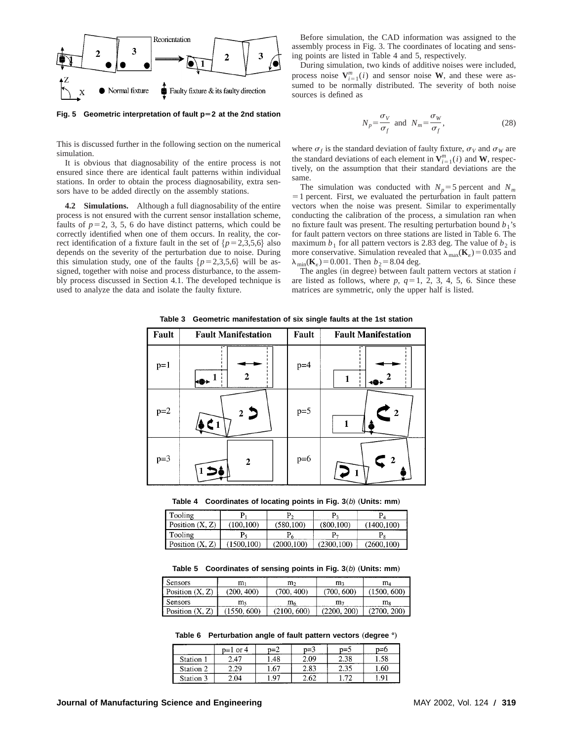

**Fig. 5** Geometric interpretation of fault  $p=2$  at the 2nd station

This is discussed further in the following section on the numerical simulation.

It is obvious that diagnosability of the entire process is not ensured since there are identical fault patterns within individual stations. In order to obtain the process diagnosability, extra sensors have to be added directly on the assembly stations.

**4.2 Simulations.** Although a full diagnosability of the entire process is not ensured with the current sensor installation scheme, faults of  $p=2, 3, 5, 6$  do have distinct patterns, which could be correctly identified when one of them occurs. In reality, the correct identification of a fixture fault in the set of  ${p=2,3,5,6}$  also depends on the severity of the perturbation due to noise. During this simulation study, one of the faults  $\{p=2,3,5,6\}$  will be assigned, together with noise and process disturbance, to the assembly process discussed in Section 4.1. The developed technique is used to analyze the data and isolate the faulty fixture.

Before simulation, the CAD information was assigned to the assembly process in Fig. 3. The coordinates of locating and sensing points are listed in Table 4 and 5, respectively.

During simulation, two kinds of additive noises were included, process noise  $V_{i=1}^{m}(i)$  and sensor noise W, and these were assumed to be normally distributed. The severity of both noise sources is defined as

$$
N_p = \frac{\sigma_V}{\sigma_f} \text{ and } N_m = \frac{\sigma_W}{\sigma_f},
$$
 (28)

where  $\sigma_f$  is the standard deviation of faulty fixture,  $\sigma_V$  and  $\sigma_W$  are the standard deviations of each element in  $V_{i=1}^{m}(i)$  and W, respectively, on the assumption that their standard deviations are the same.

The simulation was conducted with  $N_p = 5$  percent and  $N_m$  $=$  1 percent. First, we evaluated the perturbation in fault pattern vectors when the noise was present. Similar to experimentally conducting the calibration of the process, a simulation ran when no fixture fault was present. The resulting perturbation bound  $b_1$ 's for fault pattern vectors on three stations are listed in Table 6. The maximum  $b_1$  for all pattern vectors is 2.83 deg. The value of  $b_2$  is more conservative. Simulation revealed that  $\lambda_{\text{max}}(\mathbf{K}_{\varepsilon})=0.035$  and  $\lambda_{\text{min}}(\mathbf{K}_{\varepsilon}) = 0.001$ . Then  $b_2 = 8.04$  deg.

The angles (in degree) between fault pattern vectors at station  $i$ are listed as follows, where  $p, q=1, 2, 3, 4, 5, 6$ . Since these matrices are symmetric, only the upper half is listed.

**Table 3 Geometric manifestation of six single faults at the 1st station**

| Fault | <b>Fault Manifestation</b> | Fault | <b>Fault Manifestation</b>         |
|-------|----------------------------|-------|------------------------------------|
| $p=1$ |                            | $p=4$ | 1                                  |
| $p=2$ | $2^{\circ}$                | $p=5$ | $\tau_{\scriptscriptstyle 2}$<br>1 |
| $p=3$ | 2                          | $p=6$ | $\epsilon$ 2                       |

**Table 4 Coordinates of locating points in Fig. 3(b) (Units: mm)** 

| Tooling           |            |            |            |             |
|-------------------|------------|------------|------------|-------------|
| Position $(X, Z)$ | (100, 100) | (580, 100) | (800, 100) | (1400,100)  |
| Tooling           |            |            |            |             |
| Position $(X, Z)$ | (1500.100) | (2000.100) | (2300,100) | (2600, 100) |

**Table 5 Coordinates of sensing points in Fig. 3(b) (Units: mm)** 

| Sensors           | mı          | m٠                | m٦          | m.             |
|-------------------|-------------|-------------------|-------------|----------------|
| Position $(X, Z)$ | (200, 400)  | (700, 400)        | (700, 600)  | (1500, 600)    |
| Sensors           | m٢          | ${\rm m}_{\rm 6}$ | m٦          | m <sub>8</sub> |
| Position (X, Z)   | (1550, 600) | (2100, 600)       | (2200, 200) | (2700, 200)    |

Table 6 Perturbation angle of fault pattern vectors (degree °)

|           | $p=1$ or 4 | $n=2$ | $p=3$ | p=5  | n=6  |
|-----------|------------|-------|-------|------|------|
| Station 1 | . 47       | .48   | 2.09  | 2.38 | 1.58 |
| Station 2 | 2.29       | .67   | 2.83  | 2.35 | .60  |
| Station 3 | ۔04        | .97   | 2.62  | -70  | 1.91 |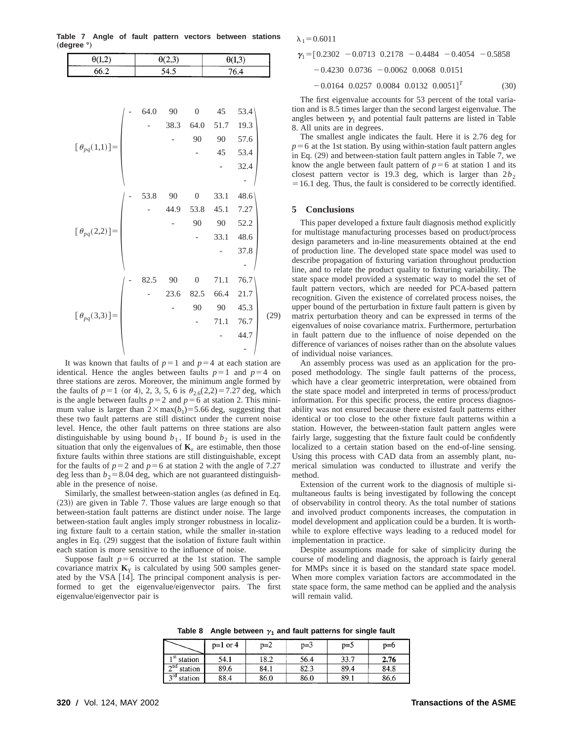**Table 7 Angle of fault pattern vectors between stations** "**degree °**…

| $\sim$ | v   | ، سومب |
|--------|-----|--------|
|        | 7.J |        |
|        |     |        |

$$
\begin{bmatrix}\n\theta_{pq}(1,1)\n\end{bmatrix} = \begin{bmatrix}\n\begin{bmatrix}\n- & 64.0 & 90 & 0 & 45 & 53.4 \\
- & 38.3 & 64.0 & 51.7 & 19.3 \\
- & 90 & 90 & 57.6 \\
- & 45 & 53.4 & - & 32.4 \\
- & 32.4 & - & 0\n\end{bmatrix} \\
\begin{bmatrix}\n- & 53.8 & 90 & 0 & 33.1 & 48.6 \\
- & 44.9 & 53.8 & 45.1 & 7.27 \\
- & 90 & 90 & 52.2 \\
- & 33.1 & 48.6 & - & 37.8 \\
- & 33.1 & 48.6 & - & 37.8 \\
- & 33.1 & 48.6 & - & 37.8 \\
- & 33.1 & 48.6 & - & 37.8 \\
- & 33.1 & 48.6 & - & 37.8 \\
- & 33.1 & 48.6 & - & 37.8 \\
- & 33.1 & 48.6 & - & 37.8 \\
- & 33.1 & 48.6 & - & 37.8 \\
- & 33.1 & 48.6 & - & 37.8 \\
- & 33.1 & 48.6 & - & 37.8 \\
- & 33.1 & 48.6 & - & 37.8 \\
- & 33.1 & 48.6 & - & 37.8 \\
- & 33.1 & 48.6 & - & 37.8 \\
- & 33.1 & 48.6 & - & 37.8 \\
- & 33.1 & 48.6 & - & 37.8 \\
- & 33.1 & 48.6 & - & 37.8 \\
- & 33.1 & 48.6 & - & 37.8 \\
- & 33.1 & 48.6 & - & 37.8 \\
- & 33.1 & 48.6 & - & 37.8 \\
- & 33.1 & 48.6 & - & 37.8 \\
- & 33.1 & 48.6 & - & 37.8 \\
- & 33.1 & 48.6 & - & 37.8 \\
- & 33.1 & 48.6 & - & 37.8 \\
- & 33.1 & 48.6 & - & 37.8 \\
- & 33.1 & 48
$$

It was known that faults of  $p=1$  and  $p=4$  at each station are identical. Hence the angles between faults  $p=1$  and  $p=4$  on three stations are zeros. Moreover, the minimum angle formed by the faults of  $p=1$  (or 4), 2, 3, 5, 6 is  $\theta_{2.6}(2,2)=7.27$  deg, which is the angle between faults  $p=2$  and  $p=6$  at station 2. This minimum value is larger than  $2 \times max(b_1) = 5.66$  deg, suggesting that these two fault patterns are still distinct under the current noise level. Hence, the other fault patterns on three stations are also distinguishable by using bound  $b_1$ . If bound  $b_2$  is used in the situation that only the eigenvalues of  $\mathbf{K}_{\rm s}$  are estimable, then those fixture faults within three stations are still distinguishable, except for the faults of  $p=2$  and  $p=6$  at station 2 with the angle of 7.27 deg less than  $b_2$ =8.04 deg, which are not guaranteed distinguishable in the presence of noise.

Similarly, the smallest between-station angles (as defined in Eq.  $(23)$ ) are given in Table 7. Those values are large enough so that between-station fault patterns are distinct under noise. The large between-station fault angles imply stronger robustness in localizing fixture fault to a certain station, while the smaller in-station angles in Eq. (29) suggest that the isolation of fixture fault within each station is more sensitive to the influence of noise.

Suppose fault  $p=6$  occurred at the 1st station. The sample covariance matrix  $\mathbf{K}_y$  is calculated by using 500 samples generated by the VSA [14]. The principal component analysis is performed to get the eigenvalue/eigenvector pairs. The first eigenvalue/eigenvector pair is

 $\lambda_1 = 0.6011$ 

$$
\gamma_1 = [0.2302 - 0.0713 \quad 0.2178 - 0.4484 - 0.4054 - 0.5858
$$
  
- 0.4230 \quad 0.0736 - 0.0062 \quad 0.0068 \quad 0.0151  
- 0.0164 \quad 0.0257 \quad 0.0084 \quad 0.0132 \quad 0.0051]^T (30)

The first eigenvalue accounts for 53 percent of the total variation and is 8.5 times larger than the second largest eigenvalue. The angles between  $\gamma_1$  and potential fault patterns are listed in Table 8. All units are in degrees.

The smallest angle indicates the fault. Here it is 2.76 deg for  $p=6$  at the 1st station. By using within-station fault pattern angles in Eq.  $(29)$  and between-station fault pattern angles in Table 7, we know the angle between fault pattern of  $p=6$  at station 1 and its closest pattern vector is 19.3 deg, which is larger than  $2b_2$  $=16.1$  deg. Thus, the fault is considered to be correctly identified.

# **5 Conclusions**

This paper developed a fixture fault diagnosis method explicitly for multistage manufacturing processes based on product/process design parameters and in-line measurements obtained at the end of production line. The developed state space model was used to describe propagation of fixturing variation throughout production line, and to relate the product quality to fixturing variability. The state space model provided a systematic way to model the set of fault pattern vectors, which are needed for PCA-based pattern recognition. Given the existence of correlated process noises, the upper bound of the perturbation in fixture fault pattern is given by matrix perturbation theory and can be expressed in terms of the eigenvalues of noise covariance matrix. Furthermore, perturbation in fault pattern due to the influence of noise depended on the difference of variances of noises rather than on the absolute values of individual noise variances.

An assembly process was used as an application for the proposed methodology. The single fault patterns of the process, which have a clear geometric interpretation, were obtained from the state space model and interpreted in terms of process/product information. For this specific process, the entire process diagnosability was not ensured because there existed fault patterns either identical or too close to the other fixture fault patterns within a station. However, the between-station fault pattern angles were fairly large, suggesting that the fixture fault could be confidently localized to a certain station based on the end-of-line sensing. Using this process with CAD data from an assembly plant, numerical simulation was conducted to illustrate and verify the method.

Extension of the current work to the diagnosis of multiple simultaneous faults is being investigated by following the concept of observability in control theory. As the total number of stations and involved product components increases, the computation in model development and application could be a burden. It is worthwhile to explore effective ways leading to a reduced model for implementation in practice.

Despite assumptions made for sake of simplicity during the course of modeling and diagnosis, the approach is fairly general for MMPs since it is based on the standard state space model. When more complex variation factors are accommodated in the state space form, the same method can be applied and the analysis will remain valid.

Table 8 Angle between  $\gamma_1$  and fault patterns for single fault

|                         | $p=1$ or 4 | $p=2$ | $p=3$ | $p=5$ | $p=0$ |
|-------------------------|------------|-------|-------|-------|-------|
| 1 <sup>st</sup> station | 54.1       | 18.2  | 56.4  | 33.7  | 2.76  |
| $\lambda$ nd<br>station | 89.6       | 84.1  | 82.3  | 89.4  | 84.8  |
| oπd<br>station          | 88.4       | 86.0  | 86.0  | 89.1  | 86.6  |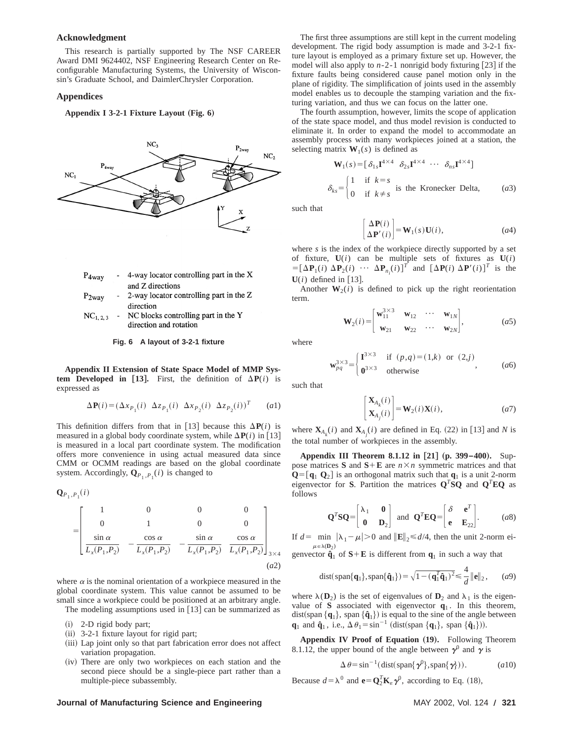#### **Acknowledgment**

This research is partially supported by The NSF CAREER Award DMI 9624402, NSF Engineering Research Center on Reconfigurable Manufacturing Systems, the University of Wisconsin's Graduate School, and DaimlerChrysler Corporation.

### **Appendices**

## Appendix I 3-2-1 Fixture Layout (Fig. 6)



| $P_{4way}$   |        | 4-way locator controlling part in the $X$ |
|--------------|--------|-------------------------------------------|
|              |        | and Z directions                          |
| $P_{2way}$   |        | 2-way locator controlling part in the Z   |
|              |        | direction                                 |
| $NC_{1,2,3}$ | $\sim$ | NC blocks controlling part in the Y       |
|              |        | direction and rotation                    |

**Fig. 6 A layout of 3-2-1 fixture**

**Appendix II Extension of State Space Model of MMP System Developed in [13].** First, the definition of  $\Delta P(i)$  is expressed as

$$
\Delta \mathbf{P}(i) = (\Delta x_{P_1}(i) \ \Delta z_{P_1}(i) \ \Delta x_{P_2}(i) \ \Delta z_{P_2}(i))^T \qquad (a1)
$$

This definition differs from that in [13] because this  $\Delta P(i)$  is measured in a global body coordinate system, while  $\Delta P(i)$  in [13] is measured in a local part coordinate system. The modification offers more convenience in using actual measured data since CMM or OCMM readings are based on the global coordinate system. Accordingly,  $\mathbf{Q}_{P_1, P_1}(i)$  is changed to

$$
\mathbf{Q}_{P_1, P_1}(i)
$$
\n
$$
= \begin{bmatrix}\n1 & 0 & 0 & 0 \\
0 & 1 & 0 & 0 \\
\frac{\sin \alpha}{L_x(P_1, P_2)} & -\frac{\cos \alpha}{L_x(P_1, P_2)} & -\frac{\sin \alpha}{L_x(P_1, P_2)} & \frac{\cos \alpha}{L_x(P_1, P_2)}\n\end{bmatrix}_{3 \times 4}
$$
\n(42)

where  $\alpha$  is the nominal orientation of a workpiece measured in the global coordinate system. This value cannot be assumed to be small since a workpiece could be positioned at an arbitrary angle.

- The modeling assumptions used in  $\lfloor 13 \rfloor$  can be summarized as
- $(i)$  2-D rigid body part;
- $(ii)$  3-2-1 fixture layout for rigid part;
- (iii) Lap joint only so that part fabrication error does not affect variation propagation.
- (iv) There are only two workpieces on each station and the second piece should be a single-piece part rather than a multiple-piece subassembly.

## **Journal of Manufacturing Science and Engineering MAY 2002, Vol. 124 / 321**

The first three assumptions are still kept in the current modeling development. The rigid body assumption is made and 3-2-1 fixture layout is employed as a primary fixture set up. However, the model will also apply to  $n-2-1$  nonrigid body fixturing [23] if the fixture faults being considered cause panel motion only in the plane of rigidity. The simplification of joints used in the assembly model enables us to decouple the stamping variation and the fixturing variation, and thus we can focus on the latter one.

The fourth assumption, however, limits the scope of application of the state space model, and thus model revision is conducted to eliminate it. In order to expand the model to accommodate an assembly process with many workpieces joined at a station, the selecting matrix  $W_1(s)$  is defined as

$$
\mathbf{W}_{1}(s) = [\delta_{1s}\mathbf{I}^{4\times4} \quad \delta_{2s}\mathbf{I}^{4\times4} \quad \cdots \quad \delta_{ns}\mathbf{I}^{4\times4}]
$$
\n
$$
\delta_{ks} = \begin{cases}\n1 & \text{if } k = s \\
0 & \text{if } k \neq s\n\end{cases}
$$
\nis the Kronecker Delta, (a3)

such that

$$
\begin{bmatrix} \Delta \mathbf{P}(i) \\ \Delta \mathbf{P}'(i) \end{bmatrix} = \mathbf{W}_1(s) \mathbf{U}(i), \tag{a4}
$$

where *s* is the index of the workpiece directly supported by a set of fixture, **U**(*i*) can be multiple sets of fixtures as **U**(*i*)  $=[\Delta \mathbf{P}_1(i) \ \Delta \mathbf{P}_2(i) \ \cdots \ \Delta \mathbf{P}_{n_i}(i)]^T$  and  $[\Delta \mathbf{P}(i) \ \Delta \mathbf{P}'(i)]^T$  is the  $U(i)$  defined in [13].

Another  $W_2(i)$  is defined to pick up the right reorientation term.

$$
\mathbf{W}_2(i) = \begin{bmatrix} \mathbf{w}_{11}^{3\times 3} & \mathbf{w}_{12} & \cdots & \mathbf{w}_{1N} \\ \mathbf{w}_{21} & \mathbf{w}_{22} & \cdots & \mathbf{w}_{2N} \end{bmatrix},\tag{a5}
$$

where

$$
\mathbf{w}_{pq}^{3\times 3} = \begin{cases} \mathbf{I}^{3\times 3} & \text{if } (p,q) = (1,k) \text{ or } (2,j) \\ \mathbf{0}^{3\times 3} & \text{otherwise} \end{cases} \tag{a6}
$$

such that

$$
\begin{bmatrix} \mathbf{X}_{A_k}(i) \\ \mathbf{X}_{A_j}(i) \end{bmatrix} = \mathbf{W}_2(i)\mathbf{X}(i),
$$
 (a7)

where  $\mathbf{X}_{A_k}(i)$  and  $\mathbf{X}_{A_j}(i)$  are defined in Eq. (22) in [13] and *N* is the total number of workpieces in the assembly.

**Appendix III Theorem 8.1.12 in [21] (p. 399–400).** Suppose matrices **S** and  $S + E$  are  $n \times n$  symmetric matrices and that  $\mathbf{Q} = [\mathbf{q}_1 \ \mathbf{Q}_2]$  is an orthogonal matrix such that  $\mathbf{q}_1$  is a unit 2-norm eigenvector for **S**. Partition the matrices  $Q^T S Q$  and  $Q^T E Q$  as follows

$$
\mathbf{Q}^T \mathbf{S} \mathbf{Q} = \begin{bmatrix} \lambda_1 & \mathbf{0} \\ \mathbf{0} & \mathbf{D}_2 \end{bmatrix} \text{ and } \mathbf{Q}^T \mathbf{E} \mathbf{Q} = \begin{bmatrix} \delta & \mathbf{e}^T \\ \mathbf{e} & \mathbf{E}_{22} \end{bmatrix} . \tag{a8}
$$

If  $d = \min |\lambda_1 - \mu| > 0$  and  $\|\mathbf{E}\|_2 \le d/4$ , then the unit 2-norm ei- $\mu \in \lambda(\mathbf{D}_2)$ 

genvector  $\hat{\mathbf{q}}_1$  of  $\mathbf{S} + \mathbf{E}$  is different from  $\mathbf{q}_1$  in such a way that

dist(span{
$$
\mathbf{q}_1
$$
}, span{ $\hat{\mathbf{q}}_1$ }) =  $\sqrt{1 - (\mathbf{q}_1^T \hat{\mathbf{q}}_1)^2} \le \frac{4}{d} ||\mathbf{e}||_2$ , (a9)

where  $\lambda(\mathbf{D}_2)$  is the set of eigenvalues of  $\mathbf{D}_2$  and  $\lambda_1$  is the eigenvalue of **S** associated with eigenvector  $\mathbf{q}_1$ . In this theorem, dist(span  $\{q_1\}$ , span  $\{\hat{q}_1\}$ ) is equal to the sine of the angle between  $\mathbf{q}_1$  and  $\mathbf{\hat{q}}_1$ , i.e.,  $\Delta \theta_1 = \sin^{-1} (\text{dist}(\text{span} {\{\mathbf{q}_1\}}, \text{span} {\{\hat{\mathbf{q}}_1\}})).$ 

Appendix IV Proof of Equation (19). Following Theorem 8.1.12, the upper bound of the angle between  $\gamma^0$  and  $\gamma$  is

$$
\Delta \theta = \sin^{-1}(\text{dist}(\text{span}\{\gamma^0\}, \text{span}\{\gamma\})).\tag{a10}
$$

Because  $d = \lambda^0$  and  $\mathbf{e} = \mathbf{Q}_2^T \mathbf{K}_{\varepsilon} \gamma^0$ , according to Eq. (18),